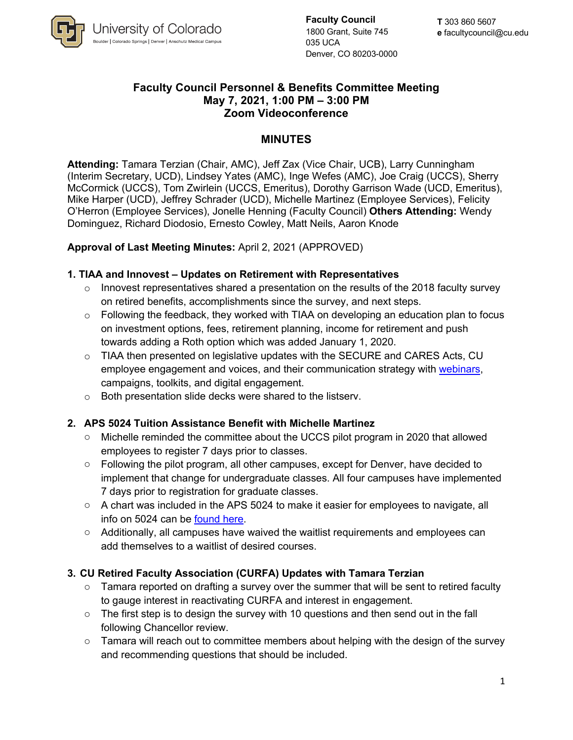

**Faculty Council** 1800 Grant, Suite 745 035 UCA Denver, CO 80203-0000

#### **Faculty Council Personnel & Benefits Committee Meeting May 7, 2021, 1:00 PM – 3:00 PM Zoom Videoconference**

## **MINUTES**

**Attending:** Tamara Terzian (Chair, AMC), Jeff Zax (Vice Chair, UCB), Larry Cunningham (Interim Secretary, UCD), Lindsey Yates (AMC), Inge Wefes (AMC), Joe Craig (UCCS), Sherry McCormick (UCCS), Tom Zwirlein (UCCS, Emeritus), Dorothy Garrison Wade (UCD, Emeritus), Mike Harper (UCD), Jeffrey Schrader (UCD), Michelle Martinez (Employee Services), Felicity O'Herron (Employee Services), Jonelle Henning (Faculty Council) **Others Attending:** Wendy Dominguez, Richard Diodosio, Ernesto Cowley, Matt Neils, Aaron Knode

**Approval of Last Meeting Minutes:** April 2, 2021 (APPROVED)

#### **1. TIAA and Innovest – Updates on Retirement with Representatives**

- $\circ$  Innovest representatives shared a presentation on the results of the 2018 faculty survey on retired benefits, accomplishments since the survey, and next steps.
- $\circ$  Following the feedback, they worked with TIAA on developing an education plan to focus on investment options, fees, retirement planning, income for retirement and push towards adding a Roth option which was added January 1, 2020.
- $\circ$  TIAA then presented on legislative updates with the SECURE and CARES Acts, CU employee engagement and voices, and their communication strategy with webinars, campaigns, toolkits, and digital engagement.
- o Both presentation slide decks were shared to the listserv.

## **2. APS 5024 Tuition Assistance Benefit with Michelle Martinez**

- o Michelle reminded the committee about the UCCS pilot program in 2020 that allowed employees to register 7 days prior to classes.
- $\circ$  Following the pilot program, all other campuses, except for Denver, have decided to implement that change for undergraduate classes. All four campuses have implemented 7 days prior to registration for graduate classes.
- $\circ$  A chart was included in the APS 5024 to make it easier for employees to navigate, all info on 5024 can be found here.
- $\circ$  Additionally, all campuses have waived the waitlist requirements and employees can add themselves to a waitlist of desired courses.

## **3. CU Retired Faculty Association (CURFA) Updates with Tamara Terzian**

- $\circ$  Tamara reported on drafting a survey over the summer that will be sent to retired faculty to gauge interest in reactivating CURFA and interest in engagement.
- $\circ$  The first step is to design the survey with 10 questions and then send out in the fall following Chancellor review.
- $\circ$  Tamara will reach out to committee members about helping with the design of the survey and recommending questions that should be included.